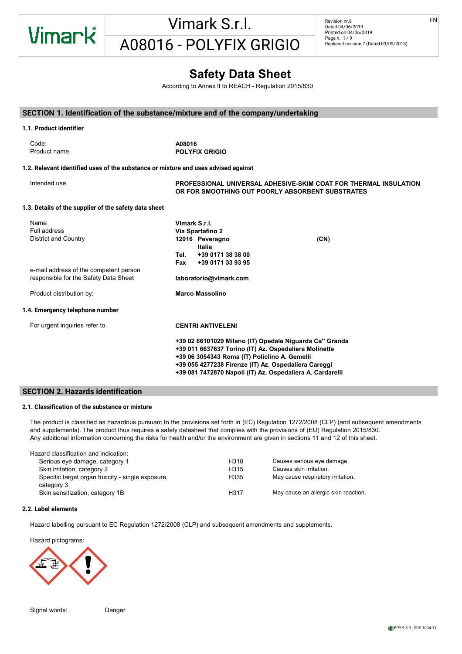

Revision nr.8 Dated 04/06/2019 Printed on 04/06/2019 Page n. 1/9 Replaced revision:7 (Dated 03/09/2018) EN

### - CE NUMBER: Indication of any international treatment of the Sheet Sheet Substances)- CLP: EC Regulation 1272

According to Annex II to REACH - Regulation 2015/830 H315 Causes skin irritation. Does not meet the classification criteria for this hazard class

#### SECTION 1. Identification of the substance/mixture and of the company/undertaking H317 May cause an allergic skin reaction. <u>CHON Reference</u> SECTION 1 Identification of the substa ASPIRATION HAZARD - IATA DGR: International Air Transport Association Dangerous Goods Regulation :CTION 1. Identification of the subs

#### 1.1. Product identifier A08016 extinguishing extinguishing extinguishing extinguishing extinguishing extinguishing extinguishing extinguishing extinguishing equipment for the specific case. The specific case of the specific case of the specific case of 1.2. Relevant identified uses of the substance or mixture and uses advised against Intended use **Example 20 Telepolism PROFESSIONAL UNIVERSAL ADHESIVE-SKIM COAT FOR THERMAL INSULATION** OR FOR SMOOTHING OUT POORLY ABSORBENT SUBSTRATES 1.3. Details of the supplier of the safety data sheet Vimark S.r.l. manne<br>Full address **and environmental regulations**<br>**Via Spartafino 2** District and Country **12016** Peveragno **(CN)**<br>
and in the country and long-term exposure from short and long-term exposure from short and long-term exposure from the congress of the congress of the congress of the congress Italia Tel. +39 0171 38 38 00 self-contained open circuit positive pressure compressed air breathing apparatus (BS EN 137). - vPvB: Very Persistent and very Bioaccumulative as for REACH Regulation  $Fax + 390171339395$ e-mail address of the competent person<br>  $\begin{array}{ccc}\n\text{Fax} & \text{F39 0171 33 53 53}\n\end{array}$ e-mail datables of the component person<br>
responsible for the Safety Data Sheet **laboratorio@vimark.com** Product distribution by: Marco Massolino 1.4. Emergency telephone number For urgent inquiries refer to **EDICAL CONTRI ANTIVELENI** +39 02 66101029 Milano (IT) Opedale Niguarda Ca'' Granda The product must not penetrate into the sewer system or come into contact with surface water or ground water. LD50 (Dermal) of the mixture: Not classified (no significant component) 6. Regulation (EU) 618/2012 (III Atp. CLP) of the European Parliament +39 011 6637637 Torino (IT) Az. Ospedaliera Molinette es en escreta remos nome (17,1 an septembre memieme<br>+39 06 3054343 Roma (IT) Policiino A. Gemelli +39 055 4277238 Firenze (IT) Az. Ospedaliera Careggi +39 081 7472870 Napoli (IT) Az. Ospedaliera A. Cardarelli  $\overline{A}08016$  is a contractive clothing  $\overline{A}08016$  $\mathcal{L} = \{ \mathcal{L} \mid \mathcal{L} \in \mathcal{L} \}$ may ppm mg/m3 ppm mg/m3 ppm mg/m3 ppm mg/m3 ppm mg/m3 ppm mg/m3 ppm mg/m3 ppm mg/m3 ppm mg/m3 ppm mg/m3 ppm mg/m3 ppm mg/m3 ppm mg/m3 ppm mg/m3 ppm mg/m3 ppm mg/m3 ppm mg/m3 ppm may ppm  $S<sub>2</sub>$ UNCURRENT EXTINGUISHING EXTINGUISHING EXTINGUISHING EXTINGUISHING EXTINGUISHING EXTINGUISHING EXTINGUISHING EXTINGUISHING EXTINGUISHING EXTINGUISHING EXTINGUISHING EXTINGUISHING EXTINGUISHING EXTINGUISHING EXTINGUISHING EX 5.2. Special hazards arising from the substance or mixture 12.1. Toxicity  $\mathcal{L}$  Hazards caused by Exposure in The Event of By Event Of Fire Name Full duuless<br>District and Country **For Fighters** For Fighters **Fighters**  $\sum_{i=1}^{\infty}$  fight fighting i.e. fighting i.e. fighting  $\sum_{i=1}^{\infty}$  and  $\sum_{i=1}^{\infty}$  and  $\sum_{i=1}^{\infty}$  and  $\sum_{i=1}^{\infty}$  $\pm 39.0$ DEU Deutschland TRGS 900 (Fassung 31.1.2018 ber.) - Liste der Arbeitsplatzgrenzwerte und Kurzzeitwerte  $\epsilon$ españa Institución profesional para agentes de exposición profesional para agentes químicos en España 2017 Froudom Entrance exposure the Change of California Change exposure limits of the Change of Change of Change and Change of Change of Change of Change of Change of Change of Change of Change of Change of Change of Change of .. Nelevalit identified uses of the substance of infixture and uses advised against TLV-ACGIH ACGIH ACGIH 2018 . Details of the supplier Type Country Twa-8h Stelling Country Twa-8h Stelling Country Twa-8h Stelling Country Twa-8h Stelling Country T<br>Two-8h Stelling Country Twa-8h Stelling Country Twa-8h Stelling Country Twa-8h Stelling Country Twa-8h Stellin  $\overline{U}$  and Country VLEP FRA 0,1 RESP  $T$ ldii duuress of the competent person  $M$ dicu  $M$ dissumo mergency telephone number  $\blacksquare$ Code: Appearance powder and the contract of the contract of the contract of the contract of the contract of the contract of the contract of the contract of the contract of the contract of the contract of the contract of th Couch grey grey grey to the product of exposure to the product of exposure to the product of exposure to the product of exposure to the product of exposure to the product of exposure to the product of exposure to the produ Product name is a product name in the contracted on the contracted on the contracted on the contracted on the contracted on the contracted on the contracted on the contracted on the contracted on the contracted on the cont Odour threshold Not applicable  $\alpha$  relevant identified uses of the substance of infigure and uses  $\alpha$ Initial boiling point Not available point not available point not available point not available point not available point not available point not available point not available point not available point not available point Boiling range Not available not available not available not available not available not available not available not available not available not available not available not available not available not available not availabl Flash point Not available 1.3. Details of the supplier of the safety data sheet  $\mathbf{r}$  $L_{\text{L}}$  is a set of available not available not available not available  $L_{\text{L}}$  is a set of  $L_{\text{L}}$ Pull dulless **inflammability limit Not available with Not available to the second contract of the second contract of the second contract of the second contract of the second contract of the second contract of the second co** Lower explosive limit is the community of the contract of the contract of the contract of the contract of the c<br>The contract of the contract of the contract of the contract of the contract of the contract of the contract o  $\blacksquare$ value in the Notaries of the Notaries of the Note and the Note applicable in the Note applicable in the Note a<br>In the Note applicable in the Note and Note and Note and Note and Note and Note and Note and Note and Note and Vapour density Not applicable e-mail address of the competent person  $P$ iducture distribution by  $P$  and  $P$  are  $P$  and  $P$  available  $P$  available  $P$ Decomposition temperature Not applicable . Emergency telephone number Explosive properties not applicable In the absence of experimental data for the product itself, health hazards are evaluated according to the substances itself, health hazards are evaluated according to the substances itself, health hazards itself, health h contains, using the criteria specified in the application for containing  $\alpha$  $\Omega$ therefore necessary to take into account the individual hazardous substances individual hazardous substances individual hazardous substances individual hazardous substances individual hazardous substances in section 3 11.1. Information on toxicological effects contaminate soil or vegetation. name<br>Full address c-mail autress of the competent person<br>recognished for the Safety Data Sheet **Blue Help Help and The Com** Information not available ACUTE TOXICITY Code:  $\sum_{i=1}^{n}$  product according product  $\sum_{i=1}^{n}$  is good working  $\sum_{i=1}^{n}$  and product reach waterways or product reach waterways or product reach waterways or product reach waterways or product reach waterways or p  $12.2<sub>2</sub>$ r an address<br>District and Country Product distribution by: ation is the property of the control of the control of the control of the control of the control of the control of the control of the control of the control of the control of the control of the control of the control of th 14.6. Special precautions for user Product name 1.2. Relevant identified uses of the substance or mixture and uses advise Intended use Severe Category - Directive 2012/18/EC: None 2012/18/EC: None 2012/18/EC: None 2012/18/EC: None 2012  $R = 200$ . Emergency telephone number For urgent inquiries refer to **EU** Substances subject to exportation reporting pursuant to (EC) Reg. 649/2012: 7. Regulation (EU) 487/2013 (IV Atp. CLP) of the European Parliament . Product identifier Code: - TLV CEILING: Concentration that should not be exposure. The exposure of occupation of occupation of occupation  $V$  imark S.r.l.

#### SECTION 2. Hazards identification المسابق المسابق المسابق المسابق المسابق المسابق المسابق المسابق المسابق المسابق المسابق المسابق المسابق المساب<br>المسابق المسابق المسابق المسابق المسابق المسابق المسابق المسابق المسابق المسابق المسابق المسابق المسابق المساب **ECTION 2. Hazards identification:** 13. Regulation (EU) 2017-2018 (CLP) 2017-2018

#### 2.1. Classification of the substance or mixture - Chapelmeation of the Sabotanet

The product is classified as hazardous pursuant to the provisions set forth in (EC) Regulation 1272/2008 (CLP) (and subsequent amendments and supplements). The product thus requires a safety datasheet that complies with the provisions of (EU) Regulation 2015/830. Any additional information concerning the risks for health and/or the environment are given in sections 11 and 12 of this sheet. should be evaluated according to applicable regulations. The product is classified as hazardous pursuant to the provisions set forth in (EC) Regulation 1272/2008 (CLP) (and subsequent amendme and suppremente). The preduct that require - N.I. Sax - Dangerous properties of Industrial Materials-7, 1989 Edition

Classification note according to Annex VI to the CLP Regulation: 1

| Hazard classification and indication:                           |                  |                                      |
|-----------------------------------------------------------------|------------------|--------------------------------------|
| Serious eye damage, category 1                                  | H318             | Causes serious eye damage.           |
| Skin irritation, category 2                                     | H <sub>315</sub> | Causes skin irritation.              |
| Specific target organ toxicity - single exposure,<br>category 3 | H335             | May cause respiratory irritation.    |
| Skin sensitization, category 1B                                 | H317             | May cause an allergic skin reaction. |

#### 2.2. Label elements<br>Si decompone a contatto contatto contatto idrofluorida information according to each specific use of the produ (RID), of the International Maritime Dangerous Goods Code (IMDG), and of the International Air Transport Association (IATA) regulations.  $\sum_{i=1}^n \frac{1}{i}$ This document must not be regarded as a guarantee on any specific product property.

Hazard labelling pursuant to EC Regulation 1272/2008 (CLP) and subsequent amendments and supplements.  $\epsilon$  storm the state of the sequence  $\epsilon$  is the second to  $\epsilon$  or  $\epsilon$  and subsequent amendment  $T_{\rm{on}}$  The use of this product is not subject to  $T_{\rm{on}}$  and  $T_{\rm{on}}$  and  $T_{\rm{on}}$  and  $\alpha$  is controlled the current and current health the current health of current health the current health the current health th and safety laws and regulations. The producer is relieved from any liability and capturer uses of producer uses.

Hazard pictograms: with a state of the state of the state of the state of the state of the state of the state o  $E_{\rm eff}$  is present. Wash immediately with plenty of water for at least 15 minutes, opening the eyelids fully. If  $p$ Provide appointed staff with adequate training on how to use chemical products.



Signal words: Cause Respiratory in the Danger Specific information on symptoms and effects caused by the product are unknown.  $S$ ignal words: including processes, including those generated by ventilation equipment, showled to ensure to ensure to ensure to ensure to ensure to ensure to ensure to ensure to ensure to ensure to ensure to ensure to en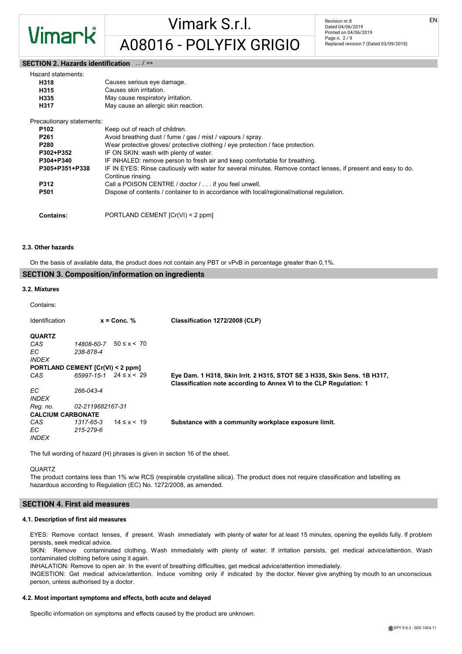Vimark

#### SECTION 2. Hazards identification  $...$  / >>

| Hazard statements:        |                                                                                                                                     |
|---------------------------|-------------------------------------------------------------------------------------------------------------------------------------|
| H318                      | Causes serious eye damage.                                                                                                          |
| H315                      | Causes skin irritation.                                                                                                             |
| H335                      | May cause respiratory irritation.                                                                                                   |
| H317                      | May cause an allergic skin reaction.                                                                                                |
| Precautionary statements: |                                                                                                                                     |
| P102                      | Keep out of reach of children.                                                                                                      |
| P <sub>261</sub>          | Avoid breathing dust / fume / gas / mist / vapours / spray.                                                                         |
| <b>P280</b>               | Wear protective gloves/ protective clothing / eye protection / face protection.                                                     |
| P302+P352                 | IF ON SKIN: wash with plenty of water.                                                                                              |
| P304+P340                 | IF INHALED: remove person to fresh air and keep comfortable for breathing.                                                          |
| P305+P351+P338            | IF IN EYES: Rinse cautiously with water for several minutes. Remove contact lenses, if present and easy to do.<br>Continue rinsing. |
| P312                      | Call a POISON CENTRE / doctor / if you feel unwell.                                                                                 |
| P501                      | Dispose of contents / container to in accordance with local/regional/national regulation.                                           |
| <b>Contains:</b>          | PORTLAND CEMENT [Cr(VI) < 2 ppm]                                                                                                    |

#### 2.3. Other hazards

On the basis of available data, the product does not contain any PBT or vPvB in percentage greater than 0,1%.

#### SECTION 3. Composition/information on ingredients

#### 3.2. Mixtures

#### Contains:

| Identification                   |                                    | $x =$ Conc. %     | Classification 1272/2008 (CLP)                                                                                                                 |
|----------------------------------|------------------------------------|-------------------|------------------------------------------------------------------------------------------------------------------------------------------------|
| <b>QUARTZ</b>                    |                                    |                   |                                                                                                                                                |
| CAS                              | 14808-60-7                         | $50 \le x \le 70$ |                                                                                                                                                |
| EC.                              | 238-878-4                          |                   |                                                                                                                                                |
| <i><b>INDEX</b></i>              |                                    |                   |                                                                                                                                                |
| PORTLAND CEMENT [Cr(VI) < 2 ppm] |                                    |                   |                                                                                                                                                |
| CAS                              | $65997 - 15 - 1$ $24 \le x \le 29$ |                   | Eye Dam. 1 H318, Skin Irrit. 2 H315, STOT SE 3 H335, Skin Sens. 1B H317,<br>Classification note according to Annex VI to the CLP Regulation: 1 |
| EC.<br><i><b>INDEX</b></i>       | 266-043-4                          |                   |                                                                                                                                                |
| Reg. no.                         | 02-2119682167-31                   |                   |                                                                                                                                                |
| <b>CALCIUM CARBONATE</b>         |                                    |                   |                                                                                                                                                |
| CAS<br>EC.<br><b>INDEX</b>       | 1317-65-3<br>215-279-6             | $14 \le x < 19$   | Substance with a community workplace exposure limit.                                                                                           |

The full wording of hazard (H) phrases is given in section 16 of the sheet.

#### QUARTZ

The product contains less than 1% w/w RCS (respirable crystalline silica). The product does not require classification and labelling as hazardous according to Regulation (EC) No. 1272/2008, as amended.

#### SECTION 4. First aid measures

#### 4.1. Description of first aid measures

EYES: Remove contact lenses, if present. Wash immediately with plenty of water for at least 15 minutes, opening the eyelids fully. If problem persists, seek medical advice.

SKIN: Remove contaminated clothing. Wash immediately with plenty of water. If irritation persists, get medical advice/attention. Wash contaminated clothing before using it again.

INHALATION: Remove to open air. In the event of breathing difficulties, get medical advice/attention immediately.

INGESTION: Get medical advice/attention. Induce vomiting only if indicated by the doctor. Never give anything by mouth to an unconscious person, unless authorised by a doctor.

#### 4.2. Most important symptoms and effects, both acute and delayed

Specific information on symptoms and effects caused by the product are unknown.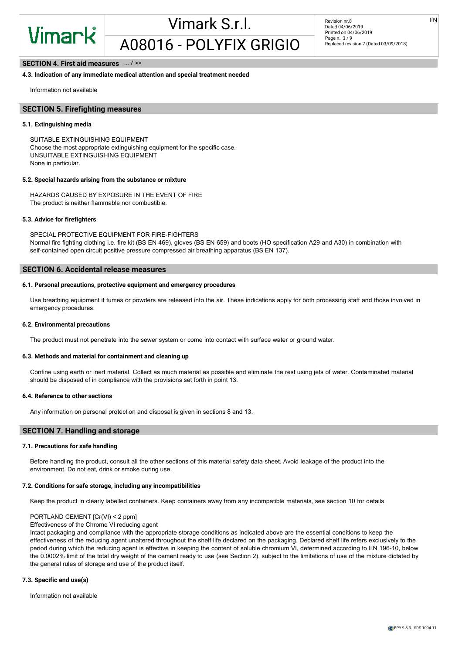EN

#### SECTION 4. First aid measures  $...$  / >>

#### 4.3. Indication of any immediate medical attention and special treatment needed

Information not available

#### SECTION 5. Firefighting measures

#### 5.1. Extinguishing media

SUITABLE EXTINGUISHING EQUIPMENT Choose the most appropriate extinguishing equipment for the specific case. UNSUITABLE EXTINGUISHING EQUIPMENT None in particular.

#### 5.2. Special hazards arising from the substance or mixture

HAZARDS CAUSED BY EXPOSURE IN THE EVENT OF FIRE The product is neither flammable nor combustible.

#### 5.3. Advice for firefighters

SPECIAL PROTECTIVE EQUIPMENT FOR FIRE-FIGHTERS Normal fire fighting clothing i.e. fire kit (BS EN 469), gloves (BS EN 659) and boots (HO specification A29 and A30) in combination with self-contained open circuit positive pressure compressed air breathing apparatus (BS EN 137).

#### SECTION 6. Accidental release measures

#### 6.1. Personal precautions, protective equipment and emergency procedures

Use breathing equipment if fumes or powders are released into the air. These indications apply for both processing staff and those involved in emergency procedures.

#### 6.2. Environmental precautions

The product must not penetrate into the sewer system or come into contact with surface water or ground water.

#### 6.3. Methods and material for containment and cleaning up

Confine using earth or inert material. Collect as much material as possible and eliminate the rest using jets of water. Contaminated material should be disposed of in compliance with the provisions set forth in point 13.

#### 6.4. Reference to other sections

Any information on personal protection and disposal is given in sections 8 and 13.

#### SECTION 7. Handling and storage

#### 7.1. Precautions for safe handling

Before handling the product, consult all the other sections of this material safety data sheet. Avoid leakage of the product into the environment. Do not eat, drink or smoke during use.

#### 7.2. Conditions for safe storage, including any incompatibilities

Keep the product in clearly labelled containers. Keep containers away from any incompatible materials, see section 10 for details.

#### PORTLAND CEMENT [Cr(VI) < 2 ppm]

Effectiveness of the Chrome VI reducing agent

Intact packaging and compliance with the appropriate storage conditions as indicated above are the essential conditions to keep the effectiveness of the reducing agent unaltered throughout the shelf life declared on the packaging. Declared shelf life refers exclusively to the period during which the reducing agent is effective in keeping the content of soluble chromium VI, determined according to EN 196-10, below the 0.0002% limit of the total dry weight of the cement ready to use (see Section 2), subject to the limitations of use of the mixture dictated by the general rules of storage and use of the product itself.

#### 7.3. Specific end use(s)

Information not available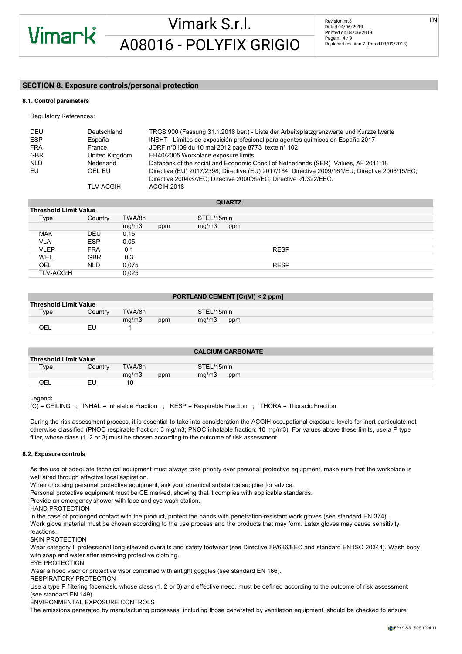EN

#### SECTION 8. Exposure controls/personal protection

#### 8.1. Control parameters

Regulatory References:

| DEU<br><b>ESP</b> | Deutschland<br>España | TRGS 900 (Fassung 31.1.2018 ber.) - Liste der Arbeitsplatzgrenzwerte und Kurzzeitwerte<br>INSHT - Límites de exposición profesional para agentes químicos en España 2017 |
|-------------------|-----------------------|--------------------------------------------------------------------------------------------------------------------------------------------------------------------------|
| <b>FRA</b>        | France                | JORF n°0109 du 10 mai 2012 page 8773 texte n° 102                                                                                                                        |
| <b>GBR</b>        | United Kingdom        | EH40/2005 Workplace exposure limits                                                                                                                                      |
| <b>NLD</b>        | Nederland             | Databank of the social and Economic Concil of Netherlands (SER) Values, AF 2011:18                                                                                       |
| EU                | OEL EU                | Directive (EU) 2017/2398; Directive (EU) 2017/164; Directive 2009/161/EU; Directive 2006/15/EC;<br>Directive 2004/37/EC; Directive 2000/39/EC; Directive 91/322/EEC.     |
|                   | <b>TLV-ACGIH</b>      | ACGIH 2018                                                                                                                                                               |

|                  |                              |        |     |            | <b>QUARTZ</b> |             |  |  |  |
|------------------|------------------------------|--------|-----|------------|---------------|-------------|--|--|--|
|                  | <b>Threshold Limit Value</b> |        |     |            |               |             |  |  |  |
| Type             | Country                      | TWA/8h |     | STEL/15min |               |             |  |  |  |
|                  |                              | mg/m3  | ppm | mg/m3      | ppm           |             |  |  |  |
| <b>MAK</b>       | <b>DEU</b>                   | 0,15   |     |            |               |             |  |  |  |
| <b>VLA</b>       | <b>ESP</b>                   | 0,05   |     |            |               |             |  |  |  |
| <b>VLEP</b>      | <b>FRA</b>                   | 0,1    |     |            |               | <b>RESP</b> |  |  |  |
| WEL              | <b>GBR</b>                   | 0,3    |     |            |               |             |  |  |  |
| OEL              | <b>NLD</b>                   | 0,075  |     |            |               | <b>RESP</b> |  |  |  |
| <b>TLV-ACGIH</b> |                              | 0,025  |     |            |               |             |  |  |  |

| <b>PORTLAND CEMENT [Cr(VI) &lt; 2 ppm]</b> |  |  |  |
|--------------------------------------------|--|--|--|
|--------------------------------------------|--|--|--|

| <b>Threshold Limit Value</b> |          |        |     |            |     |
|------------------------------|----------|--------|-----|------------|-----|
| Type                         | Country  | TWA/8h |     | STEL/15min |     |
|                              |          | mq/m3  | ppm | mq/m3      | ppm |
| DЕ                           | ΕL<br>__ |        |     |            |     |
|                              |          |        |     |            |     |

|                              |         |        |     |            | <b>CALCIUM CARBONATE</b> |
|------------------------------|---------|--------|-----|------------|--------------------------|
| <b>Threshold Limit Value</b> |         |        |     |            |                          |
| Type                         | Country | TWA/8h |     | STEL/15min |                          |
|                              |         | mq/m3  | ppm | mq/m3      | ppm                      |
| OEL                          | ΕU      | 10     |     |            |                          |

#### Legend:

(C) = CEILING ; INHAL = Inhalable Fraction ; RESP = Respirable Fraction ; THORA = Thoracic Fraction.

During the risk assessment process, it is essential to take into consideration the ACGIH occupational exposure levels for inert particulate not otherwise classified (PNOC respirable fraction: 3 mg/m3; PNOC inhalable fraction: 10 mg/m3). For values above these limits, use a P type filter, whose class (1, 2 or 3) must be chosen according to the outcome of risk assessment.

#### 8.2. Exposure controls

As the use of adequate technical equipment must always take priority over personal protective equipment, make sure that the workplace is well aired through effective local aspiration.

When choosing personal protective equipment, ask your chemical substance supplier for advice.

Personal protective equipment must be CE marked, showing that it complies with applicable standards.

Provide an emergency shower with face and eye wash station.

#### HAND PROTECTION

In the case of prolonged contact with the product, protect the hands with penetration-resistant work gloves (see standard EN 374). Work glove material must be chosen according to the use process and the products that may form. Latex gloves may cause sensitivity

reactions.

SKIN PROTECTION

Wear category II professional long-sleeved overalls and safety footwear (see Directive 89/686/EEC and standard EN ISO 20344). Wash body with soap and water after removing protective clothing.

#### EYE PROTECTION

Wear a hood visor or protective visor combined with airtight goggles (see standard EN 166).

#### RESPIRATORY PROTECTION

Use a type P filtering facemask, whose class (1, 2 or 3) and effective need, must be defined according to the outcome of risk assessment (see standard EN 149).

#### ENVIRONMENTAL EXPOSURE CONTROLS

The emissions generated by manufacturing processes, including those generated by ventilation equipment, should be checked to ensure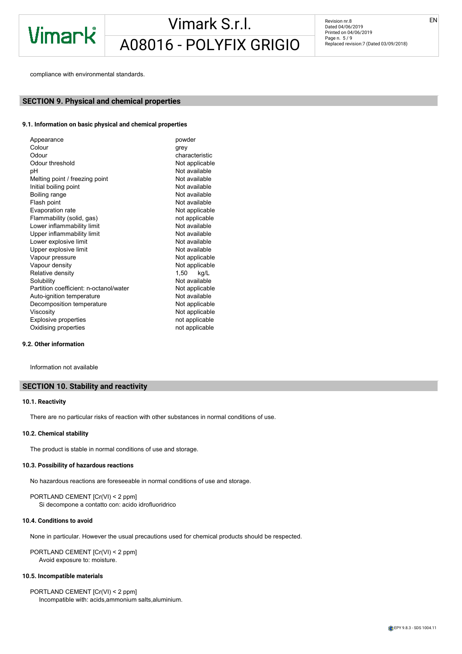Revision nr.8 Dated 04/06/2019 Printed on 04/06/2019 Page n. 5 / 9 Replaced revision:7 (Dated 03/09/2018)

compliance with environmental standards.

### SECTION 9. Physical and chemical properties

#### 9.1. Information on basic physical and chemical properties

#### 9.2. Other information

Information not available

#### SECTION 10. Stability and reactivity

#### 10.1. Reactivity

There are no particular risks of reaction with other substances in normal conditions of use.

#### 10.2. Chemical stability

The product is stable in normal conditions of use and storage.

#### 10.3. Possibility of hazardous reactions

No hazardous reactions are foreseeable in normal conditions of use and storage.

PORTLAND CEMENT [Cr(VI) < 2 ppm] Si decompone a contatto con: acido idrofluoridrico

#### 10.4. Conditions to avoid

None in particular. However the usual precautions used for chemical products should be respected.

PORTLAND CEMENT [Cr(VI) < 2 ppm] Avoid exposure to: moisture.

#### 10.5. Incompatible materials

PORTLAND CEMENT [Cr(VI) < 2 ppm] Incompatible with: acids,ammonium salts,aluminium.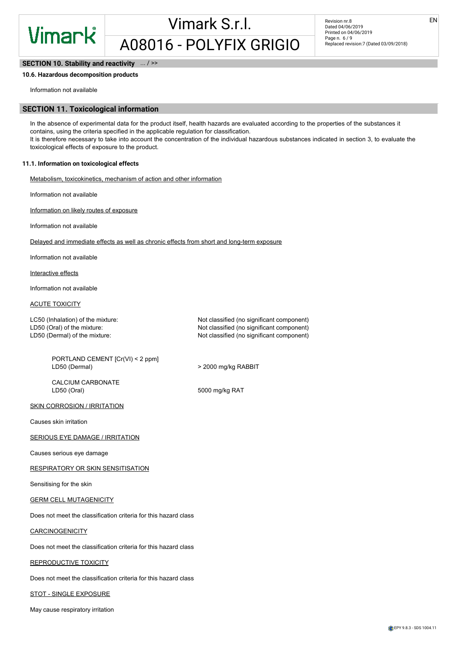EN

#### SECTION 10. Stability and reactivity  $\ldots$  / >>

#### 10.6. Hazardous decomposition products

Information not available

#### SECTION 11. Toxicological information

In the absence of experimental data for the product itself, health hazards are evaluated according to the properties of the substances it contains, using the criteria specified in the applicable regulation for classification. It is therefore necessary to take into account the concentration of the individual hazardous substances indicated in section 3, to evaluate the toxicological effects of exposure to the product.

#### 11.1. Information on toxicological effects

Metabolism, toxicokinetics, mechanism of action and other information

Information not available

Information on likely routes of exposure

Information not available

Delayed and immediate effects as well as chronic effects from short and long-term exposure

Information not available

Interactive effects

Information not available

#### ACUTE TOXICITY

LC50 (Inhalation) of the mixture: Not classified (no significant component) LD50 (Oral) of the mixture:  $\blacksquare$ LD50 (Dermal) of the mixture:  $\blacksquare$  Not classified (no significant component)

PORTLAND CEMENT [Cr(VI) < 2 ppm] LD50 (Dermal)  $>$  2000 mg/kg RABBIT

CALCIUM CARBONATE<br>LD50 (Oral)

5000 mg/kg RAT

#### SKIN CORROSION / IRRITATION

Causes skin irritation

#### **SERIOUS EYE DAMAGE / IRRITATION**

Causes serious eye damage

RESPIRATORY OR SKIN SENSITISATION

Sensitising for the skin

#### GERM CELL MUTAGENICITY

Does not meet the classification criteria for this hazard class

**CARCINOGENICITY** 

Does not meet the classification criteria for this hazard class

#### REPRODUCTIVE TOXICITY

Does not meet the classification criteria for this hazard class

STOT - SINGLE EXPOSURE

May cause respiratory irritation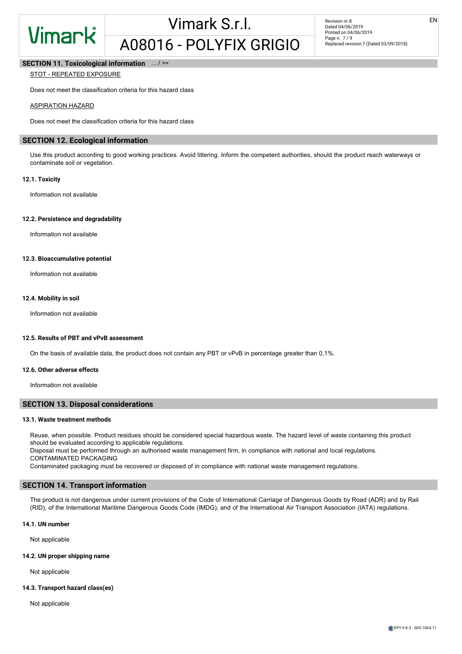

EN

#### SECTION 11. Toxicological information  $\ldots$  / >>

#### STOT - REPEATED EXPOSURE

Does not meet the classification criteria for this hazard class

#### ASPIRATION HAZARD

Does not meet the classification criteria for this hazard class

### SECTION 12. Ecological information

Use this product according to good working practices. Avoid littering. Inform the competent authorities, should the product reach waterways or contaminate soil or vegetation.

#### 12.1. Toxicity

Information not available

#### 12.2. Persistence and degradability

Information not available

#### 12.3. Bioaccumulative potential

Information not available

#### 12.4. Mobility in soil

Information not available

#### 12.5. Results of PBT and vPvB assessment

On the basis of available data, the product does not contain any PBT or vPvB in percentage greater than 0,1%.

#### 12.6. Other adverse effects

Information not available

#### SECTION 13. Disposal considerations

#### 13.1. Waste treatment methods

Reuse, when possible. Product residues should be considered special hazardous waste. The hazard level of waste containing this product should be evaluated according to applicable regulations.

Disposal must be performed through an authorised waste management firm, in compliance with national and local regulations. CONTAMINATED PACKAGING

Contaminated packaging must be recovered or disposed of in compliance with national waste management regulations.

#### SECTION 14. Transport information

The product is not dangerous under current provisions of the Code of International Carriage of Dangerous Goods by Road (ADR) and by Rail (RID), of the International Maritime Dangerous Goods Code (IMDG), and of the International Air Transport Association (IATA) regulations.

#### 14.1. UN number

Not applicable

#### 14.2. UN proper shipping name

Not applicable

#### 14.3. Transport hazard class(es)

Not applicable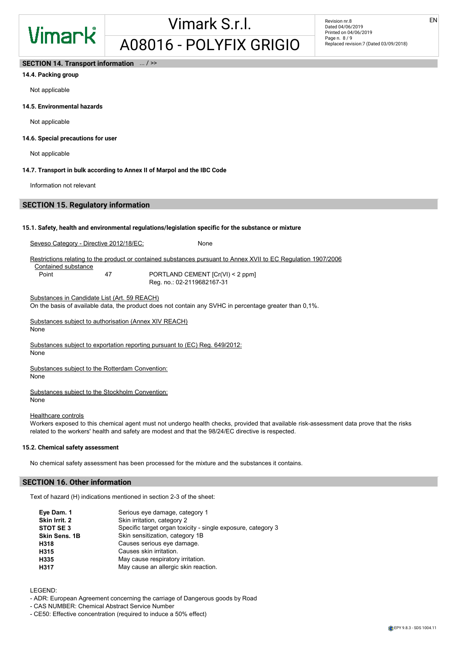EN

### SECTION 14. Transport information ... / >>

### 14.4. Packing group

Not applicable

#### 14.5. Environmental hazards

Not applicable

#### 14.6. Special precautions for user

Not applicable

#### 14.7. Transport in bulk according to Annex II of Marpol and the IBC Code

Information not relevant

#### SECTION 15. Regulatory information

#### 15.1. Safety, health and environmental regulations/legislation specific for the substance or mixture

Seveso Category - Directive 2012/18/EC: None

Restrictions relating to the product or contained substances pursuant to Annex XVII to EC Regulation 1907/2006

Contained substance

Point 47 PORTLAND CEMENT [Cr(VI) < 2 ppm] Reg. no.: 02-2119682167-31

Substances in Candidate List (Art. 59 REACH)

On the basis of available data, the product does not contain any SVHC in percentage greater than 0,1%.

Substances subject to authorisation (Annex XIV REACH) None

Substances subject to exportation reporting pursuant to (EC) Reg. 649/2012: None

Substances subject to the Rotterdam Convention:

None

Substances subject to the Stockholm Convention: None

#### Healthcare controls

Workers exposed to this chemical agent must not undergo health checks, provided that available risk-assessment data prove that the risks related to the workers' health and safety are modest and that the 98/24/EC directive is respected.

#### 15.2. Chemical safety assessment

No chemical safety assessment has been processed for the mixture and the substances it contains.

#### SECTION 16. Other information

Text of hazard (H) indications mentioned in section 2-3 of the sheet:

| Specific target organ toxicity - single exposure, category 3 |
|--------------------------------------------------------------|
|                                                              |
|                                                              |
|                                                              |
|                                                              |
|                                                              |
|                                                              |

LEGEND:

- ADR: European Agreement concerning the carriage of Dangerous goods by Road
- CAS NUMBER: Chemical Abstract Service Number
- CE50: Effective concentration (required to induce a 50% effect)